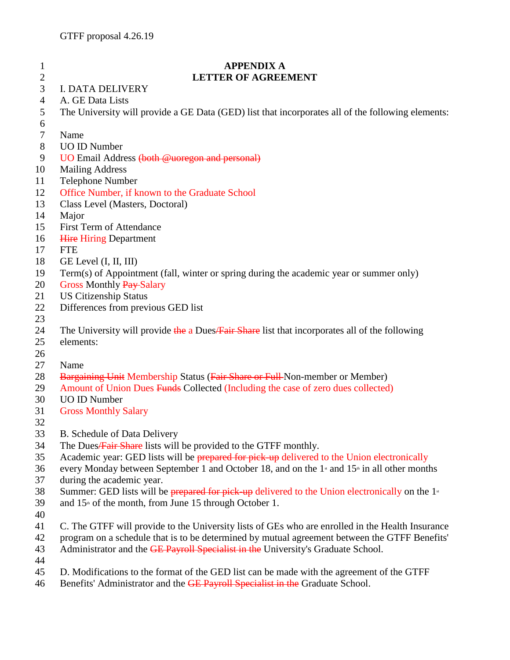| $\mathbf{1}$     | <b>APPENDIX A</b>                                                                                                                         |
|------------------|-------------------------------------------------------------------------------------------------------------------------------------------|
| $\boldsymbol{2}$ | <b>LETTER OF AGREEMENT</b>                                                                                                                |
| 3                | <b>I. DATA DELIVERY</b>                                                                                                                   |
| $\overline{4}$   | A. GE Data Lists                                                                                                                          |
| 5<br>6           | The University will provide a GE Data (GED) list that incorporates all of the following elements:                                         |
| $\tau$           | Name                                                                                                                                      |
| 8                | <b>UO ID Number</b>                                                                                                                       |
| 9                | UO Email Address (both @uoregon and personal)                                                                                             |
| 10               | <b>Mailing Address</b>                                                                                                                    |
| 11               | Telephone Number                                                                                                                          |
| 12               | Office Number, if known to the Graduate School                                                                                            |
| 13               | Class Level (Masters, Doctoral)                                                                                                           |
| 14               | Major                                                                                                                                     |
| 15               | <b>First Term of Attendance</b>                                                                                                           |
| 16               | <b>Hire Hiring Department</b>                                                                                                             |
| 17               | <b>FTE</b>                                                                                                                                |
| 18               | GE Level (I, II, III)                                                                                                                     |
| 19               | Term(s) of Appointment (fall, winter or spring during the academic year or summer only)                                                   |
| 20               | <b>Gross Monthly Pay-Salary</b>                                                                                                           |
| 21               | <b>US Citizenship Status</b>                                                                                                              |
| 22               | Differences from previous GED list                                                                                                        |
| 23               |                                                                                                                                           |
| 24               | The University will provide the a Dues/Fair Share list that incorporates all of the following                                             |
| 25               | elements:                                                                                                                                 |
| 26               |                                                                                                                                           |
| 27               | Name                                                                                                                                      |
| 28               | <b>Bargaining Unit Membership Status (Fair Share or Full-Non-member or Member)</b>                                                        |
| 29               | Amount of Union Dues Funds Collected (Including the case of zero dues collected)                                                          |
| 30               | <b>UO ID Number</b>                                                                                                                       |
| 31               | <b>Gross Monthly Salary</b>                                                                                                               |
| 32               |                                                                                                                                           |
| 33               | B. Schedule of Data Delivery                                                                                                              |
| 34               | The Dues/Fair Share lists will be provided to the GTFF monthly.                                                                           |
| 35               | Academic year: GED lists will be prepared for pick up delivered to the Union electronically                                               |
| 36<br>37         | every Monday between September 1 and October 18, and on the 1 <sup>st</sup> and 15 <sup>th</sup> in all other months                      |
| 38               | during the academic year.<br>Summer: GED lists will be prepared for pick-up delivered to the Union electronically on the $1$ <sup>*</sup> |
| 39               | and $15th$ of the month, from June 15 through October 1.                                                                                  |
| 40               |                                                                                                                                           |
| 41               | C. The GTFF will provide to the University lists of GEs who are enrolled in the Health Insurance                                          |
| 42               | program on a schedule that is to be determined by mutual agreement between the GTFF Benefits'                                             |
| 43               | Administrator and the GE Payroll Specialist in the University's Graduate School.                                                          |
| 44               |                                                                                                                                           |

- D. Modifications to the format of the GED list can be made with the agreement of the GTFF
- 46 Benefits' Administrator and the **GE Payroll Specialist in the Graduate School.**